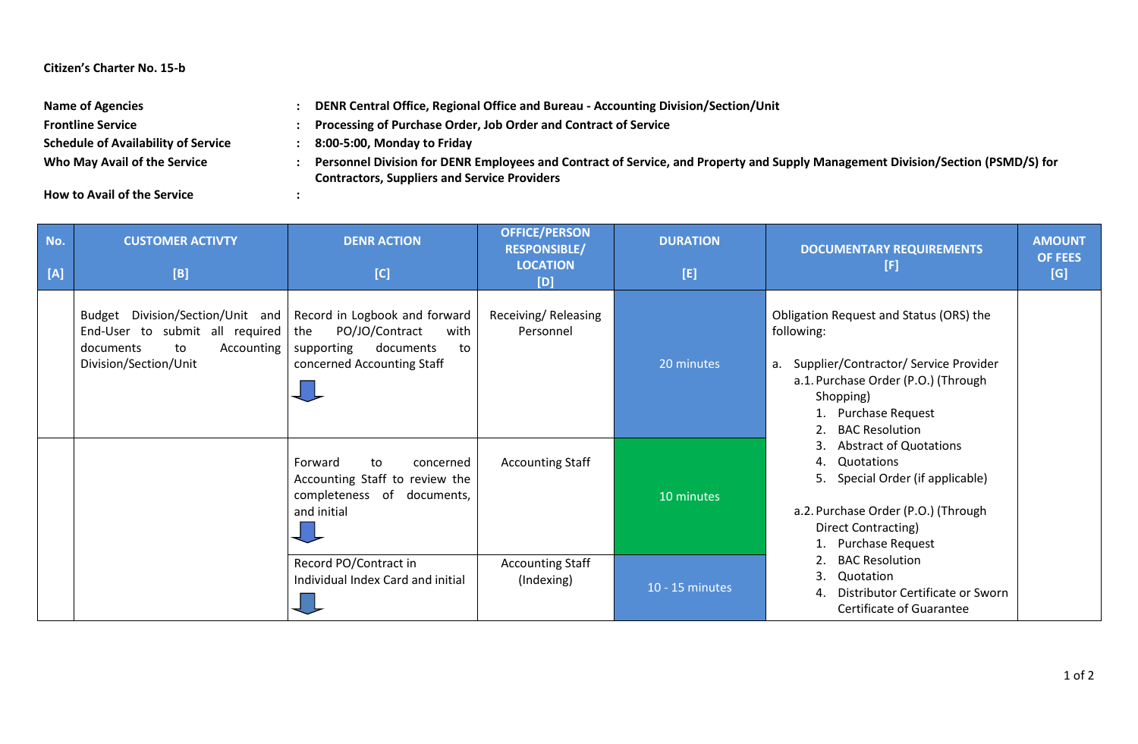## **Citizen's Charter No. 15-b**

| <b>Name of Agencies</b>                    | DENR Central Office, Regional Office and Bureau - Accounting Division/Section/Unit                                              |
|--------------------------------------------|---------------------------------------------------------------------------------------------------------------------------------|
| <b>Frontline Service</b>                   | Processing of Purchase Order, Job Order and Contract of Service                                                                 |
| <b>Schedule of Availability of Service</b> | 8:00-5:00, Monday to Friday                                                                                                     |
| Who May Avail of the Service               | Personnel Division for DENR Employees and Contract of Service, and Property and Supply Management Division/Section (PSMD/S) for |
|                                            | <b>Contractors, Suppliers and Service Providers</b>                                                                             |

**How to Avail of the Service :**

| No.<br>[A] | <b>CUSTOMER ACTIVTY</b><br>[B]                                                                                                                                      | <b>DENR ACTION</b><br>[C]                                                                                 | <b>OFFICE/PERSON</b><br><b>RESPONSIBLE/</b><br><b>LOCATION</b><br>[D] | <b>DURATION</b><br>[E] | <b>DOCUMENTARY REQUIREMENTS</b><br>[F]                                                                                                                                                                                                                                                                                                                                                                                                                                                                                | <b>AMOUNT</b><br><b>OF FEES</b><br>[G] |
|------------|---------------------------------------------------------------------------------------------------------------------------------------------------------------------|-----------------------------------------------------------------------------------------------------------|-----------------------------------------------------------------------|------------------------|-----------------------------------------------------------------------------------------------------------------------------------------------------------------------------------------------------------------------------------------------------------------------------------------------------------------------------------------------------------------------------------------------------------------------------------------------------------------------------------------------------------------------|----------------------------------------|
|            | Budget Division/Section/Unit and   Record in Logbook and forward<br>End-User to submit all required   the<br>Accounting<br>documents<br>to<br>Division/Section/Unit | PO/JO/Contract<br>with<br>documents<br>supporting<br>to<br>concerned Accounting Staff                     | Receiving/Releasing<br>Personnel                                      | 20 minutes             | Obligation Request and Status (ORS) the<br>following:<br>a. Supplier/Contractor/ Service Provider<br>a.1. Purchase Order (P.O.) (Through<br>Shopping)<br>Purchase Request<br><b>BAC Resolution</b><br>2.<br><b>Abstract of Quotations</b><br>3.<br>Quotations<br>4.<br>Special Order (if applicable)<br>5.<br>a.2. Purchase Order (P.O.) (Through<br>Direct Contracting)<br><b>Purchase Request</b><br><b>BAC Resolution</b><br>3.<br>Quotation<br>Distributor Certificate or Sworn<br>4.<br>Certificate of Guarantee |                                        |
|            |                                                                                                                                                                     | Forward<br>to<br>concerned<br>Accounting Staff to review the<br>completeness of documents,<br>and initial | <b>Accounting Staff</b>                                               | 10 minutes             |                                                                                                                                                                                                                                                                                                                                                                                                                                                                                                                       |                                        |
|            |                                                                                                                                                                     | Record PO/Contract in<br>Individual Index Card and initial                                                | <b>Accounting Staff</b><br>(Indexing)                                 | 10 - 15 minutes        |                                                                                                                                                                                                                                                                                                                                                                                                                                                                                                                       |                                        |